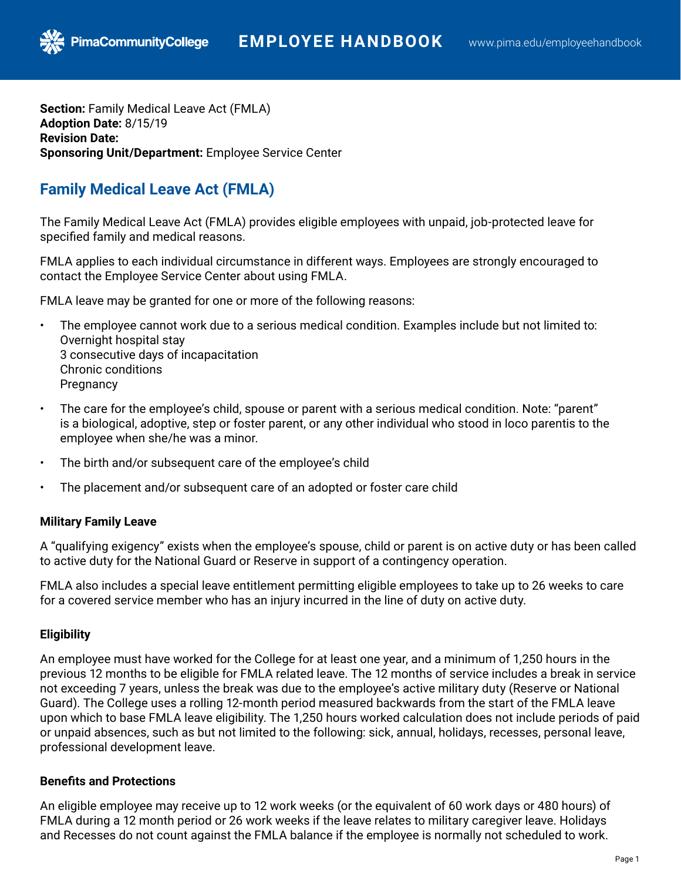**Section:** Family Medical Leave Act (FMLA) **Adoption Date:** 8/15/19 **Revision Date: Sponsoring Unit/Department:** Employee Service Center

# **Family Medical Leave Act (FMLA)**

**PimaCommunityCollege** 

The Family Medical Leave Act (FMLA) provides eligible employees with unpaid, job-protected leave for specified family and medical reasons.

FMLA applies to each individual circumstance in different ways. Employees are strongly encouraged to contact the Employee Service Center about using FMLA.

FMLA leave may be granted for one or more of the following reasons:

- The employee cannot work due to a serious medical condition. Examples include but not limited to: Overnight hospital stay 3 consecutive days of incapacitation Chronic conditions **Pregnancy**
- The care for the employee's child, spouse or parent with a serious medical condition. Note: "parent" is a biological, adoptive, step or foster parent, or any other individual who stood in loco parentis to the employee when she/he was a minor.
- The birth and/or subsequent care of the employee's child
- The placement and/or subsequent care of an adopted or foster care child

# **Military Family Leave**

A "qualifying exigency" exists when the employee's spouse, child or parent is on active duty or has been called to active duty for the National Guard or Reserve in support of a contingency operation.

FMLA also includes a special leave entitlement permitting eligible employees to take up to 26 weeks to care for a covered service member who has an injury incurred in the line of duty on active duty.

# **Eligibility**

An employee must have worked for the College for at least one year, and a minimum of 1,250 hours in the previous 12 months to be eligible for FMLA related leave. The 12 months of service includes a break in service not exceeding 7 years, unless the break was due to the employee's active military duty (Reserve or National Guard). The College uses a rolling 12-month period measured backwards from the start of the FMLA leave upon which to base FMLA leave eligibility. The 1,250 hours worked calculation does not include periods of paid or unpaid absences, such as but not limited to the following: sick, annual, holidays, recesses, personal leave, professional development leave.

# **Benefits and Protections**

An eligible employee may receive up to 12 work weeks (or the equivalent of 60 work days or 480 hours) of FMLA during a 12 month period or 26 work weeks if the leave relates to military caregiver leave. Holidays and Recesses do not count against the FMLA balance if the employee is normally not scheduled to work.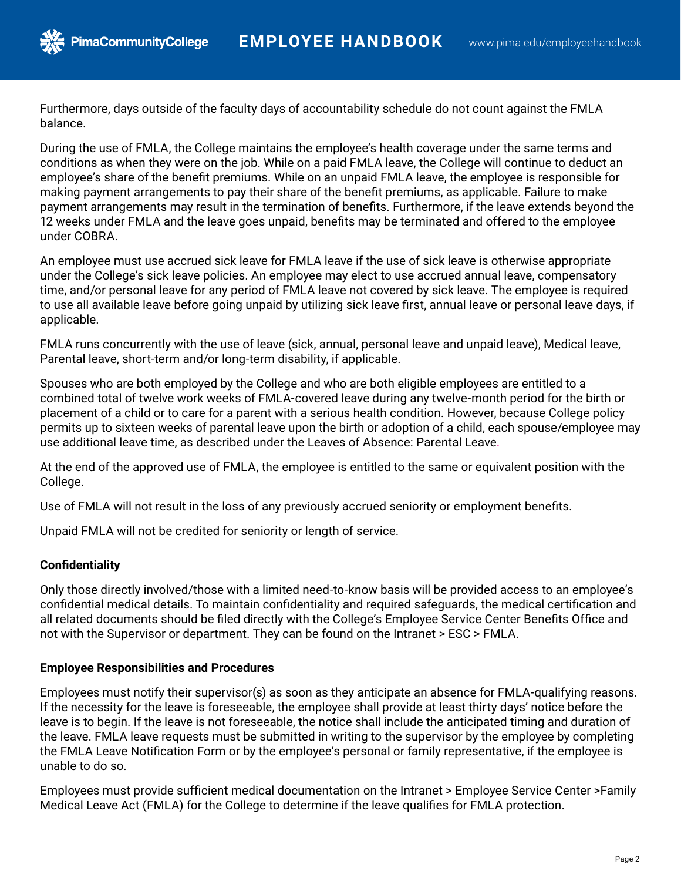

Furthermore, days outside of the faculty days of accountability schedule do not count against the FMLA balance.

During the use of FMLA, the College maintains the employee's health coverage under the same terms and conditions as when they were on the job. While on a paid FMLA leave, the College will continue to deduct an employee's share of the benefit premiums. While on an unpaid FMLA leave, the employee is responsible for making payment arrangements to pay their share of the benefit premiums, as applicable. Failure to make payment arrangements may result in the termination of benefits. Furthermore, if the leave extends beyond the 12 weeks under FMLA and the leave goes unpaid, benefits may be terminated and offered to the employee under COBRA.

An employee must use accrued sick leave for FMLA leave if the use of sick leave is otherwise appropriate under the College's sick leave policies. An employee may elect to use accrued annual leave, compensatory time, and/or personal leave for any period of FMLA leave not covered by sick leave. The employee is required to use all available leave before going unpaid by utilizing sick leave first, annual leave or personal leave days, if applicable.

FMLA runs concurrently with the use of leave (sick, annual, personal leave and unpaid leave), Medical leave, Parental leave, short-term and/or long-term disability, if applicable.

Spouses who are both employed by the College and who are both eligible employees are entitled to a combined total of twelve work weeks of FMLA-covered leave during any twelve-month period for the birth or placement of a child or to care for a parent with a serious health condition. However, because College policy permits up to sixteen weeks of parental leave upon the birth or adoption of a child, each spouse/employee may use additional leave time, as described under the Leaves of Absence: Parental Leave.

At the end of the approved use of FMLA, the employee is entitled to the same or equivalent position with the College.

Use of FMLA will not result in the loss of any previously accrued seniority or employment benefits.

Unpaid FMLA will not be credited for seniority or length of service.

# **Confidentiality**

Only those directly involved/those with a limited need-to-know basis will be provided access to an employee's confidential medical details. To maintain confidentiality and required safeguards, the medical certification and all related documents should be filed directly with the College's Employee Service Center Benefits Office and not with the Supervisor or department. They can be found on the Intranet > ESC > FMLA.

### **Employee Responsibilities and Procedures**

Employees must notify their supervisor(s) as soon as they anticipate an absence for FMLA-qualifying reasons. If the necessity for the leave is foreseeable, the employee shall provide at least thirty days' notice before the leave is to begin. If the leave is not foreseeable, the notice shall include the anticipated timing and duration of the leave. FMLA leave requests must be submitted in writing to the supervisor by the employee by completing the FMLA Leave Notification Form or by the employee's personal or family representative, if the employee is unable to do so.

Employees must provide sufficient medical documentation on the Intranet > Employee Service Center >Family Medical Leave Act (FMLA) for the College to determine if the leave qualifies for FMLA protection.